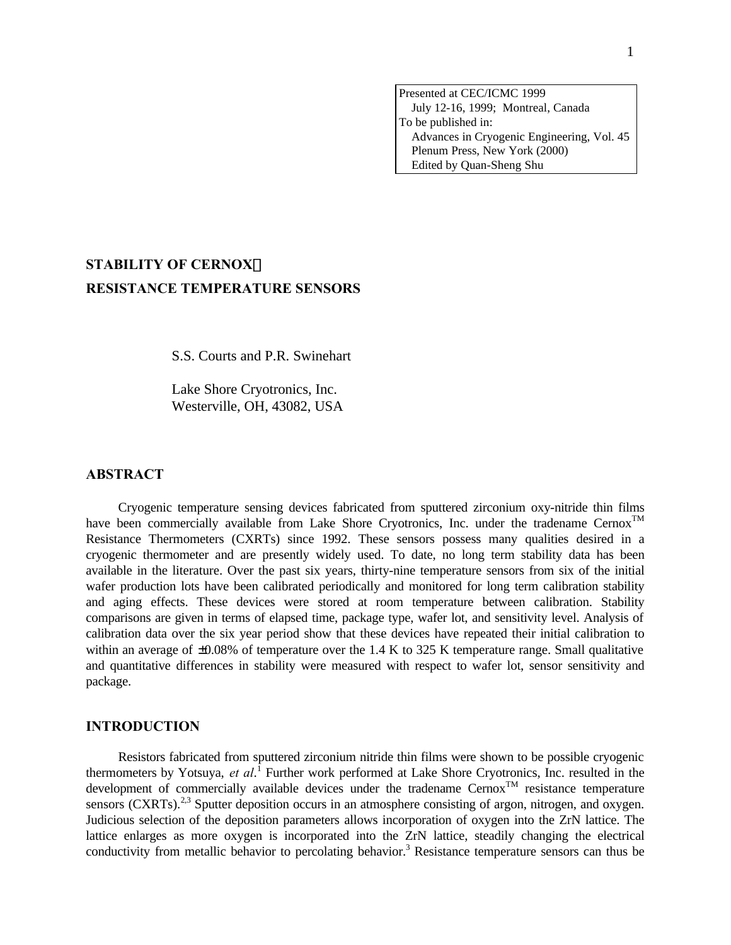Presented at CEC/ICMC 1999 July 12-16, 1999; Montreal, Canada To be published in: Advances in Cryogenic Engineering, Vol. 45 Plenum Press, New York (2000) Edited by Quan-Sheng Shu

# **STABILITY OF CERNOXä RESISTANCE TEMPERATURE SENSORS**

S.S. Courts and P.R. Swinehart

Lake Shore Cryotronics, Inc. Westerville, OH, 43082, USA

# **ABSTRACT**

Cryogenic temperature sensing devices fabricated from sputtered zirconium oxy-nitride thin films have been commercially available from Lake Shore Cryotronics, Inc. under the tradename Cernox<sup>TM</sup> Resistance Thermometers (CXRTs) since 1992. These sensors possess many qualities desired in a cryogenic thermometer and are presently widely used. To date, no long term stability data has been available in the literature. Over the past six years, thirty-nine temperature sensors from six of the initial wafer production lots have been calibrated periodically and monitored for long term calibration stability and aging effects. These devices were stored at room temperature between calibration. Stability comparisons are given in terms of elapsed time, package type, wafer lot, and sensitivity level. Analysis of calibration data over the six year period show that these devices have repeated their initial calibration to within an average of  $\pm 0.08\%$  of temperature over the 1.4 K to 325 K temperature range. Small qualitative and quantitative differences in stability were measured with respect to wafer lot, sensor sensitivity and package.

## **INTRODUCTION**

Resistors fabricated from sputtered zirconium nitride thin films were shown to be possible cryogenic thermometers by Yotsuya, *et al*. 1 Further work performed at Lake Shore Cryotronics, Inc. resulted in the development of commercially available devices under the tradename  $Cernox<sup>TM</sup>$  resistance temperature sensors (CXRTs).<sup>2,3</sup> Sputter deposition occurs in an atmosphere consisting of argon, nitrogen, and oxygen. Judicious selection of the deposition parameters allows incorporation of oxygen into the ZrN lattice. The lattice enlarges as more oxygen is incorporated into the ZrN lattice, steadily changing the electrical conductivity from metallic behavior to percolating behavior.<sup>3</sup> Resistance temperature sensors can thus be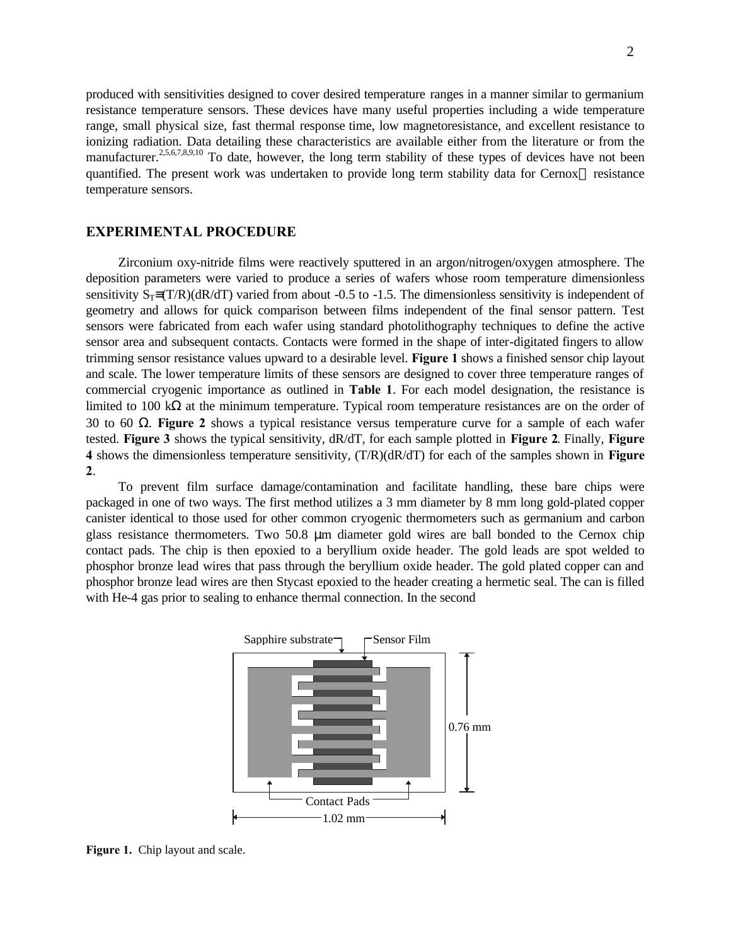produced with sensitivities designed to cover desired temperature ranges in a manner similar to germanium resistance temperature sensors. These devices have many useful properties including a wide temperature range, small physical size, fast thermal response time, low magnetoresistance, and excellent resistance to ionizing radiation. Data detailing these characteristics are available either from the literature or from the manufacturer.<sup>2,5,6,7,8,9,10</sup> To date, however, the long term stability of these types of devices have not been quantified. The present work was undertaken to provide long term stability data for Cernox<sup> $\mathsf{TM}$ </sup> resistance temperature sensors.

## **EXPERIMENTAL PROCEDURE**

Zirconium oxy-nitride films were reactively sputtered in an argon/nitrogen/oxygen atmosphere. The deposition parameters were varied to produce a series of wafers whose room temperature dimensionless sensitivity  $S_T=(T/R)(dR/dT)$  varied from about -0.5 to -1.5. The dimensionless sensitivity is independent of geometry and allows for quick comparison between films independent of the final sensor pattern. Test sensors were fabricated from each wafer using standard photolithography techniques to define the active sensor area and subsequent contacts. Contacts were formed in the shape of inter-digitated fingers to allow trimming sensor resistance values upward to a desirable level. **Figure 1** shows a finished sensor chip layout and scale. The lower temperature limits of these sensors are designed to cover three temperature ranges of commercial cryogenic importance as outlined in **Table 1**. For each model designation, the resistance is limited to 100 kΩ at the minimum temperature. Typical room temperature resistances are on the order of 30 to 60 Ω. **Figure 2** shows a typical resistance versus temperature curve for a sample of each wafer tested. **Figure 3** shows the typical sensitivity, dR/dT, for each sample plotted in **Figure 2**. Finally, **Figure 4** shows the dimensionless temperature sensitivity, (T/R)(dR/dT) for each of the samples shown in **Figure 2**.

To prevent film surface damage/contamination and facilitate handling, these bare chips were packaged in one of two ways. The first method utilizes a 3 mm diameter by 8 mm long gold-plated copper canister identical to those used for other common cryogenic thermometers such as germanium and carbon glass resistance thermometers. Two 50.8 μm diameter gold wires are ball bonded to the Cernox chip contact pads. The chip is then epoxied to a beryllium oxide header. The gold leads are spot welded to phosphor bronze lead wires that pass through the beryllium oxide header. The gold plated copper can and phosphor bronze lead wires are then Stycast epoxied to the header creating a hermetic seal. The can is filled with He-4 gas prior to sealing to enhance thermal connection. In the second



**Figure 1.** Chip layout and scale.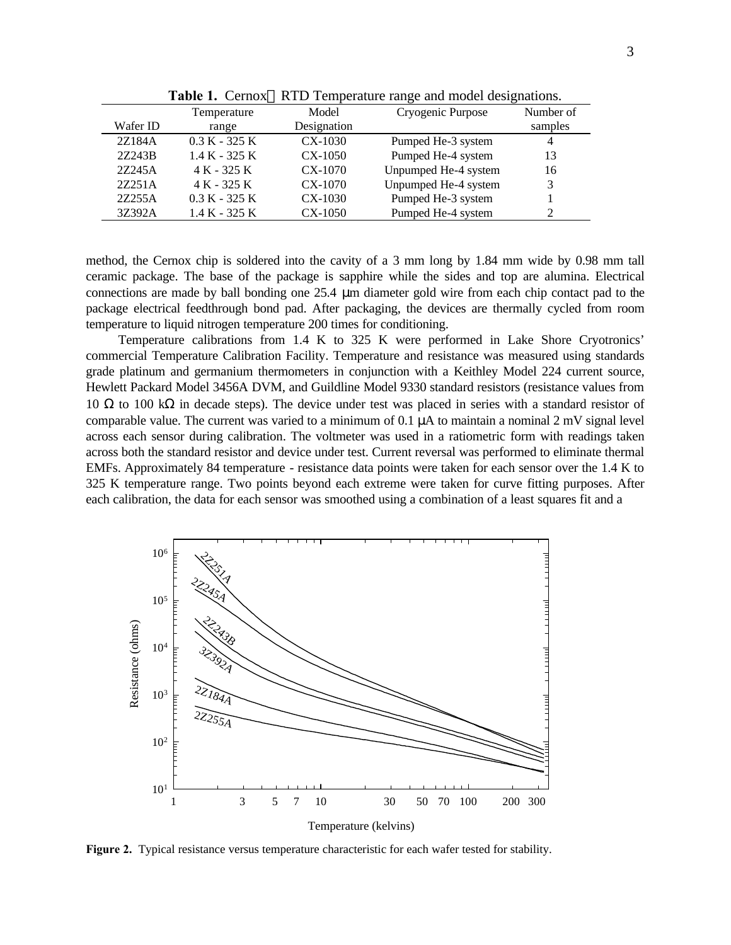|          | Temperature     | Model       | Cryogenic Purpose    | Number of      |
|----------|-----------------|-------------|----------------------|----------------|
| Wafer ID | range           | Designation |                      | samples        |
| 2Z184A   | $0.3 K - 325 K$ | $CX-1030$   | Pumped He-3 system   | $\overline{4}$ |
| 27.243B  | $1.4 K - 325 K$ | $CX-1050$   | Pumped He-4 system   | 13             |
| 27.245A  | $4 K - 325 K$   | $CX-1070$   | Unpumped He-4 system | 16             |
| 2Z251A   | 4 K - 325 K     | $CX-1070$   | Unpumped He-4 system | 3              |
| 27255A   | $0.3 K - 325 K$ | $CX-1030$   | Pumped He-3 system   |                |
| 3Z392A   | $1.4 K - 325 K$ | $CX-1050$   | Pumped He-4 system   |                |

Table 1. Cernox<sup>™</sup> RTD Temperature range and model designations.

method, the Cernox chip is soldered into the cavity of a 3 mm long by 1.84 mm wide by 0.98 mm tall ceramic package. The base of the package is sapphire while the sides and top are alumina. Electrical connections are made by ball bonding one 25.4 μm diameter gold wire from each chip contact pad to the package electrical feedthrough bond pad. After packaging, the devices are thermally cycled from room temperature to liquid nitrogen temperature 200 times for conditioning.

Temperature calibrations from 1.4 K to 325 K were performed in Lake Shore Cryotronics' commercial Temperature Calibration Facility. Temperature and resistance was measured using standards grade platinum and germanium thermometers in conjunction with a Keithley Model 224 current source, Hewlett Packard Model 3456A DVM, and Guildline Model 9330 standard resistors (resistance values from 10 Ω to 100 kΩ in decade steps). The device under test was placed in series with a standard resistor of comparable value. The current was varied to a minimum of 0.1 μA to maintain a nominal 2 mV signal level across each sensor during calibration. The voltmeter was used in a ratiometric form with readings taken across both the standard resistor and device under test. Current reversal was performed to eliminate thermal EMFs. Approximately 84 temperature - resistance data points were taken for each sensor over the 1.4 K to 325 K temperature range. Two points beyond each extreme were taken for curve fitting purposes. After each calibration, the data for each sensor was smoothed using a combination of a least squares fit and a



**Figure 2.** Typical resistance versus temperature characteristic for each wafer tested for stability.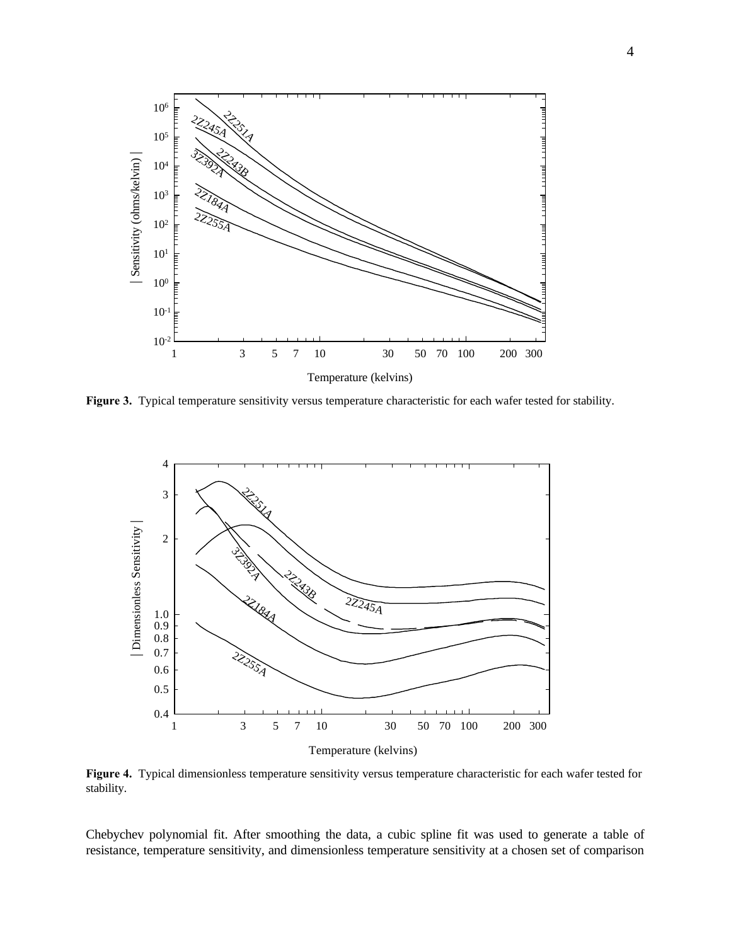

**Figure 3.** Typical temperature sensitivity versus temperature characteristic for each wafer tested for stability.



**Figure 4.** Typical dimensionless temperature sensitivity versus temperature characteristic for each wafer tested for stability.

Chebychev polynomial fit. After smoothing the data, a cubic spline fit was used to generate a table of resistance, temperature sensitivity, and dimensionless temperature sensitivity at a chosen set of comparison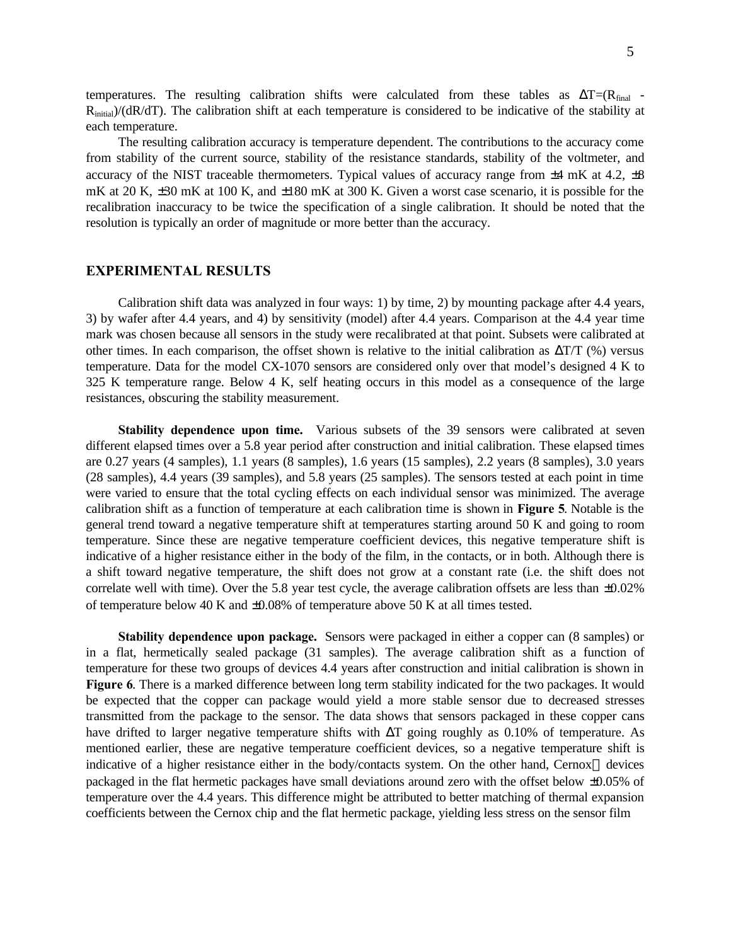temperatures. The resulting calibration shifts were calculated from these tables as  $\Delta T = (R_{final} -$ Rinitial)/(dR/dT). The calibration shift at each temperature is considered to be indicative of the stability at each temperature.

The resulting calibration accuracy is temperature dependent. The contributions to the accuracy come from stability of the current source, stability of the resistance standards, stability of the voltmeter, and accuracy of the NIST traceable thermometers. Typical values of accuracy range from  $\pm 4$  mK at 4.2,  $\pm 8$ mK at 20 K, ±30 mK at 100 K, and ±180 mK at 300 K. Given a worst case scenario, it is possible for the recalibration inaccuracy to be twice the specification of a single calibration. It should be noted that the resolution is typically an order of magnitude or more better than the accuracy.

# **EXPERIMENTAL RESULTS**

Calibration shift data was analyzed in four ways: 1) by time, 2) by mounting package after 4.4 years, 3) by wafer after 4.4 years, and 4) by sensitivity (model) after 4.4 years. Comparison at the 4.4 year time mark was chosen because all sensors in the study were recalibrated at that point. Subsets were calibrated at other times. In each comparison, the offset shown is relative to the initial calibration as  $\Delta T/T$  (%) versus temperature. Data for the model CX-1070 sensors are considered only over that model's designed 4 K to 325 K temperature range. Below 4 K, self heating occurs in this model as a consequence of the large resistances, obscuring the stability measurement.

**Stability dependence upon time.** Various subsets of the 39 sensors were calibrated at seven different elapsed times over a 5.8 year period after construction and initial calibration. These elapsed times are 0.27 years (4 samples), 1.1 years (8 samples), 1.6 years (15 samples), 2.2 years (8 samples), 3.0 years (28 samples), 4.4 years (39 samples), and 5.8 years (25 samples). The sensors tested at each point in time were varied to ensure that the total cycling effects on each individual sensor was minimized. The average calibration shift as a function of temperature at each calibration time is shown in **Figure 5**. Notable is the general trend toward a negative temperature shift at temperatures starting around 50 K and going to room temperature. Since these are negative temperature coefficient devices, this negative temperature shift is indicative of a higher resistance either in the body of the film, in the contacts, or in both. Although there is a shift toward negative temperature, the shift does not grow at a constant rate (i.e. the shift does not correlate well with time). Over the 5.8 year test cycle, the average calibration offsets are less than ±0.02% of temperature below 40 K and ±0.08% of temperature above 50 K at all times tested.

**Stability dependence upon package.** Sensors were packaged in either a copper can (8 samples) or in a flat, hermetically sealed package (31 samples). The average calibration shift as a function of temperature for these two groups of devices 4.4 years after construction and initial calibration is shown in **Figure 6**. There is a marked difference between long term stability indicated for the two packages. It would be expected that the copper can package would yield a more stable sensor due to decreased stresses transmitted from the package to the sensor. The data shows that sensors packaged in these copper cans have drifted to larger negative temperature shifts with ΔT going roughly as 0.10% of temperature. As mentioned earlier, these are negative temperature coefficient devices, so a negative temperature shift is indicative of a higher resistance either in the body/contacts system. On the other hand, Cernox<sup> $\tau$ M</sup> devices packaged in the flat hermetic packages have small deviations around zero with the offset below ±0.05% of temperature over the 4.4 years. This difference might be attributed to better matching of thermal expansion coefficients between the Cernox chip and the flat hermetic package, yielding less stress on the sensor film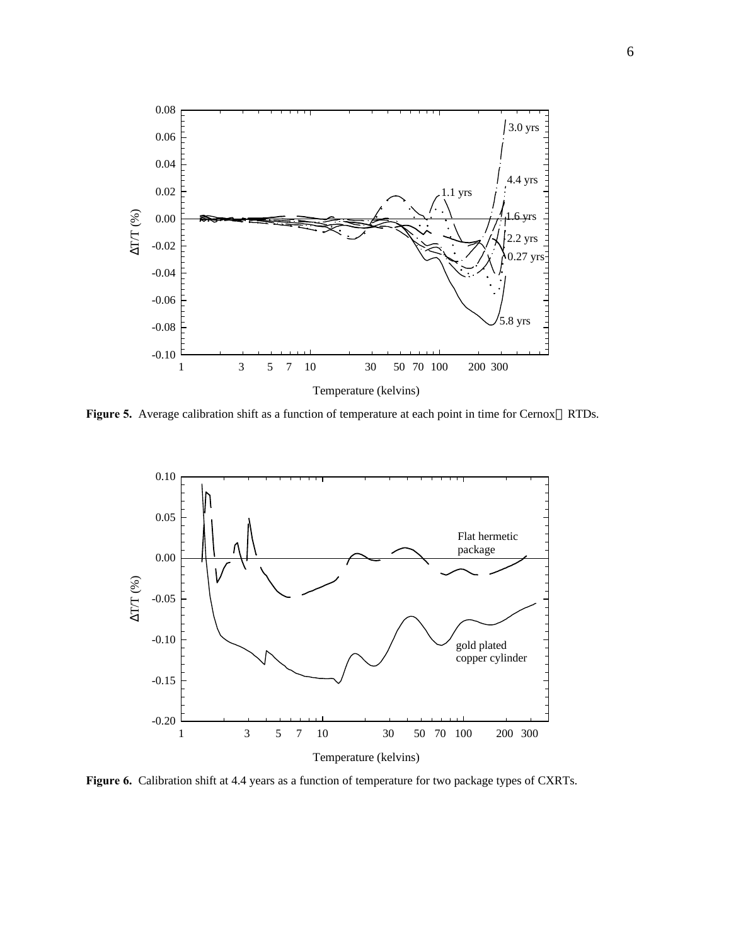

Figure 5. Average calibration shift as a function of temperature at each point in time for Cernox<sup>™</sup> RTDs.



**Figure 6.** Calibration shift at 4.4 years as a function of temperature for two package types of CXRTs.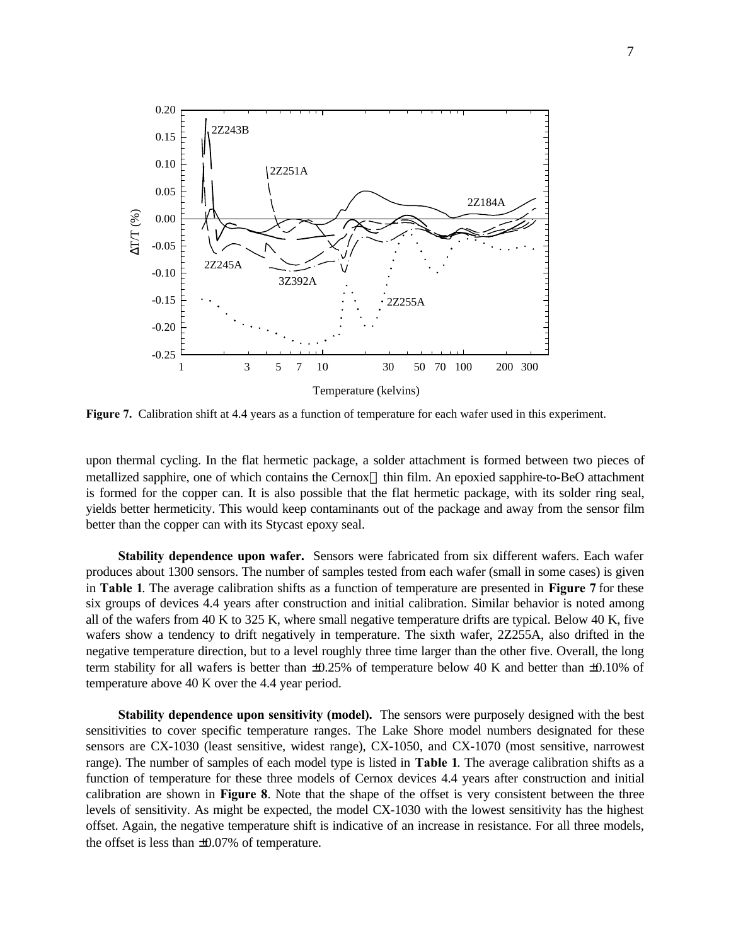

**Figure 7.** Calibration shift at 4.4 years as a function of temperature for each wafer used in this experiment.

upon thermal cycling. In the flat hermetic package, a solder attachment is formed between two pieces of metallized sapphire, one of which contains the Cernox<sup>™</sup> thin film. An epoxied sapphire-to-BeO attachment is formed for the copper can. It is also possible that the flat hermetic package, with its solder ring seal, yields better hermeticity. This would keep contaminants out of the package and away from the sensor film better than the copper can with its Stycast epoxy seal.

**Stability dependence upon wafer.** Sensors were fabricated from six different wafers. Each wafer produces about 1300 sensors. The number of samples tested from each wafer (small in some cases) is given in **Table 1**. The average calibration shifts as a function of temperature are presented in **Figure 7** for these six groups of devices 4.4 years after construction and initial calibration. Similar behavior is noted among all of the wafers from 40 K to 325 K, where small negative temperature drifts are typical. Below 40 K, five wafers show a tendency to drift negatively in temperature. The sixth wafer, 2Z255A, also drifted in the negative temperature direction, but to a level roughly three time larger than the other five. Overall, the long term stability for all wafers is better than ±0.25% of temperature below 40 K and better than ±0.10% of temperature above 40 K over the 4.4 year period.

**Stability dependence upon sensitivity (model).** The sensors were purposely designed with the best sensitivities to cover specific temperature ranges. The Lake Shore model numbers designated for these sensors are CX-1030 (least sensitive, widest range), CX-1050, and CX-1070 (most sensitive, narrowest range). The number of samples of each model type is listed in **Table 1**. The average calibration shifts as a function of temperature for these three models of Cernox devices 4.4 years after construction and initial calibration are shown in **Figure 8**. Note that the shape of the offset is very consistent between the three levels of sensitivity. As might be expected, the model CX-1030 with the lowest sensitivity has the highest offset. Again, the negative temperature shift is indicative of an increase in resistance. For all three models, the offset is less than ±0.07% of temperature.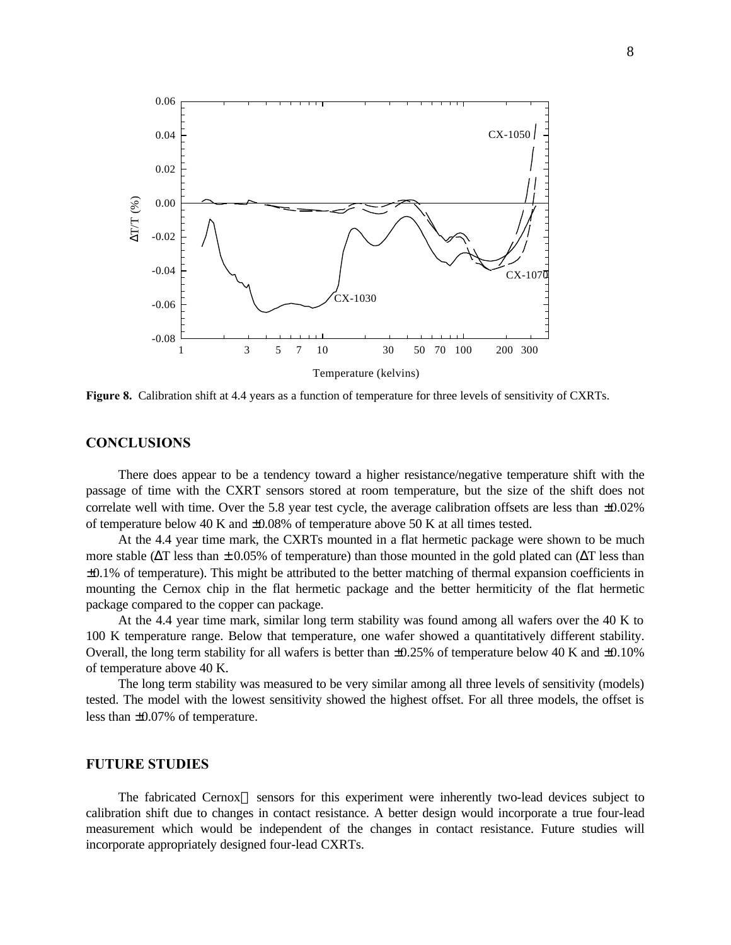

**Figure 8.** Calibration shift at 4.4 years as a function of temperature for three levels of sensitivity of CXRTs.

## **CONCLUSIONS**

There does appear to be a tendency toward a higher resistance/negative temperature shift with the passage of time with the CXRT sensors stored at room temperature, but the size of the shift does not correlate well with time. Over the 5.8 year test cycle, the average calibration offsets are less than ±0.02% of temperature below 40 K and ±0.08% of temperature above 50 K at all times tested.

At the 4.4 year time mark, the CXRTs mounted in a flat hermetic package were shown to be much more stable ( $\Delta T$  less than  $\pm 0.05\%$  of temperature) than those mounted in the gold plated can ( $\Delta T$  less than ±0.1% of temperature). This might be attributed to the better matching of thermal expansion coefficients in mounting the Cernox chip in the flat hermetic package and the better hermiticity of the flat hermetic package compared to the copper can package.

At the 4.4 year time mark, similar long term stability was found among all wafers over the 40 K to 100 K temperature range. Below that temperature, one wafer showed a quantitatively different stability. Overall, the long term stability for all wafers is better than  $\pm 0.25\%$  of temperature below 40 K and  $\pm 0.10\%$ of temperature above 40 K.

The long term stability was measured to be very similar among all three levels of sensitivity (models) tested. The model with the lowest sensitivity showed the highest offset. For all three models, the offset is less than ±0.07% of temperature.

#### **FUTURE STUDIES**

The fabricated Cernox<sup> $M$ </sup> sensors for this experiment were inherently two-lead devices subject to calibration shift due to changes in contact resistance. A better design would incorporate a true four-lead measurement which would be independent of the changes in contact resistance. Future studies will incorporate appropriately designed four-lead CXRTs.